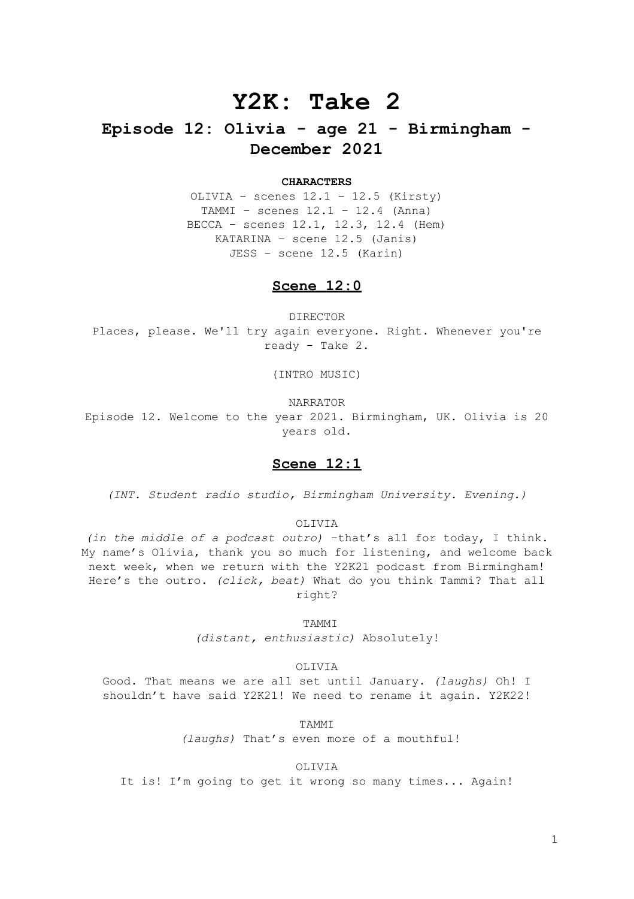# **Y2K: Take 2**

# **Episode 12: Olivia - age 21 - Birmingham - December 2021**

### **CHARACTERS**

OLIVIA – scenes 12.1 – 12.5 (Kirsty) TAMMI – scenes 12.1 – 12.4 (Anna) BECCA – scenes 12.1, 12.3, 12.4 (Hem) KATARINA – scene 12.5 (Janis) JESS – scene 12.5 (Karin)

## **Scene 12:0**

DIRECTOR Places, please. We'll try again everyone. Right. Whenever you're ready - Take 2.

(INTRO MUSIC)

NARRATOR

Episode 12. Welcome to the year 2021. Birmingham, UK. Olivia is 20 years old.

### **Scene 12:1**

*(INT. Student radio studio, Birmingham University. Evening.)*

OLIVIA

*(in the middle of a podcast outro)* -that's all for today, I think. My name's Olivia, thank you so much for listening, and welcome back next week, when we return with the Y2K21 podcast from Birmingham! Here's the outro. *(click, beat)* What do you think Tammi? That all right?

TAMMI

*(distant, enthusiastic)* Absolutely!

OLIVIA

Good. That means we are all set until January. *(laughs)* Oh! I shouldn't have said Y2K21! We need to rename it again. Y2K22!

TAMMI

*(laughs)* That's even more of a mouthful!

OLIVIA

It is! I'm going to get it wrong so many times... Again!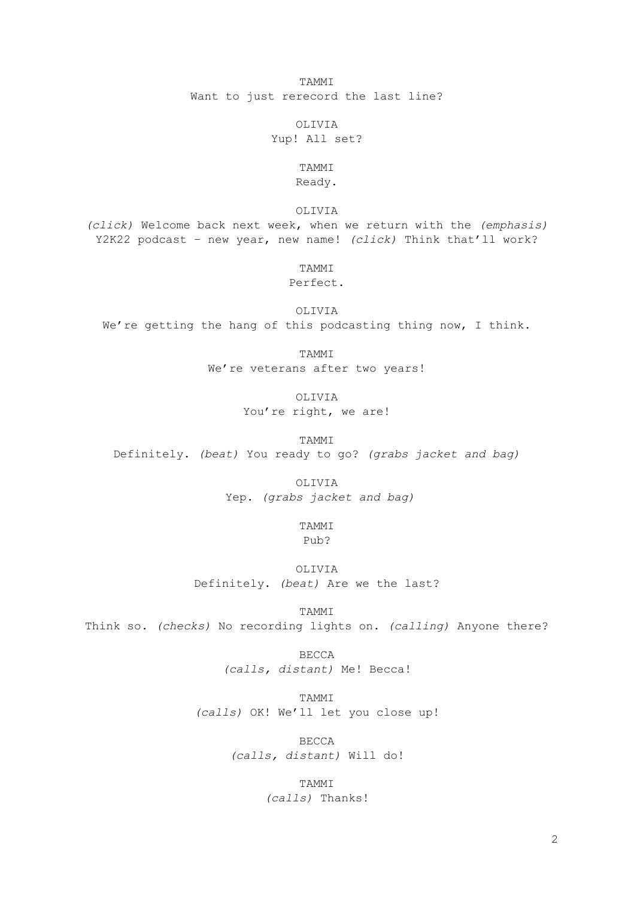TAMMI Want to just rerecord the last line?

OLIVIA

Yup! All set?

## TAMMI Ready.

OLIVIA

*(click)* Welcome back next week, when we return with the *(emphasis)* Y2K22 podcast – new year, new name! *(click)* Think that'll work?

TAMMI

### Perfect.

OLIVIA We're getting the hang of this podcasting thing now, I think.

TAMMI

We're veterans after two years!

OLIVIA You're right, we are!

TAMMI Definitely. *(beat)* You ready to go? *(grabs jacket and bag)*

OLIVIA

Yep. *(grabs jacket and bag)*

TAMMI

Pub?

OLIVIA Definitely. *(beat)* Are we the last?

TAMMI

Think so. *(checks)* No recording lights on. *(calling)* Anyone there?

BECCA *(calls, distant)* Me! Becca!

TAMMI *(calls)* OK! We'll let you close up!

> BECCA *(calls, distant)* Will do!

> > TAMMI *(calls)* Thanks!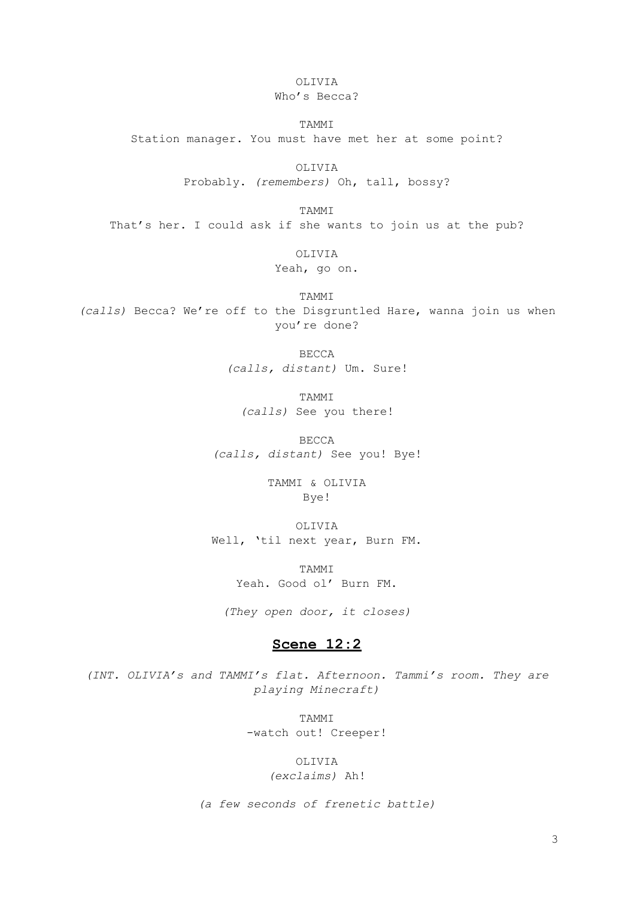OLIVIA

Who's Becca?

TAMMI Station manager. You must have met her at some point?

> OLIVIA Probably. *(remembers)* Oh, tall, bossy?

TAMMI That's her. I could ask if she wants to join us at the pub?

OLIVIA

Yeah, go on.

TAMMI *(calls)* Becca? We're off to the Disgruntled Hare, wanna join us when you're done?

> BECCA *(calls, distant)* Um. Sure!

TAMMI *(calls)* See you there!

BECCA *(calls, distant)* See you! Bye!

> TAMMI & OLIVIA Bye!

OLIVIA Well, 'til next year, Burn FM.

> TAMMI Yeah. Good ol' Burn FM.

*(They open door, it closes)*

# **Scene 12:2**

*(INT. OLIVIA's and TAMMI's flat. Afternoon. Tammi's room. They are playing Minecraft)*

> TAMMI -watch out! Creeper!

> > OLIVIA *(exclaims)* Ah!

*(a few seconds of frenetic battle)*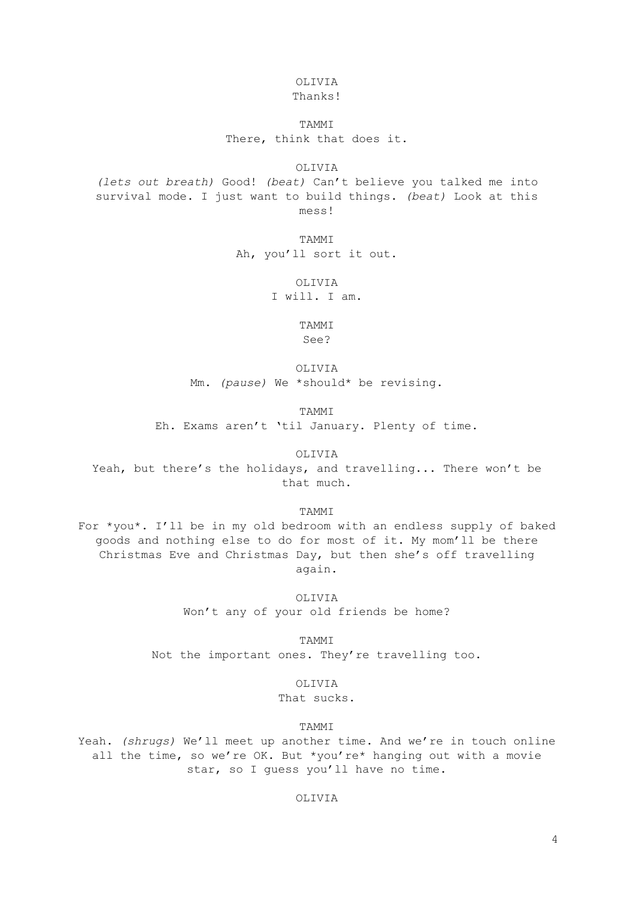# OLIVIA

# Thanks!

# TAMMI There, think that does it.

OLIVIA

*(lets out breath)* Good! *(beat)* Can't believe you talked me into survival mode. I just want to build things. *(beat)* Look at this mess!

> TAMMI Ah, you'll sort it out.

> > OLIVIA I will. I am.

> > > TAMMI See?

OLIVIA Mm. *(pause)* We \*should\* be revising.

TAMMI

Eh. Exams aren't 'til January. Plenty of time.

OLIVIA

Yeah, but there's the holidays, and travelling... There won't be that much.

TAMMI

For \*you\*. I'll be in my old bedroom with an endless supply of baked goods and nothing else to do for most of it. My mom'll be there Christmas Eve and Christmas Day, but then she's off travelling again.

> OLIVIA Won't any of your old friends be home?

TAMMI Not the important ones. They're travelling too.

OLIVIA

That sucks.

TAMMI

Yeah. *(shrugs)* We'll meet up another time. And we're in touch online all the time, so we're OK. But \*you're\* hanging out with a movie star, so I guess you'll have no time.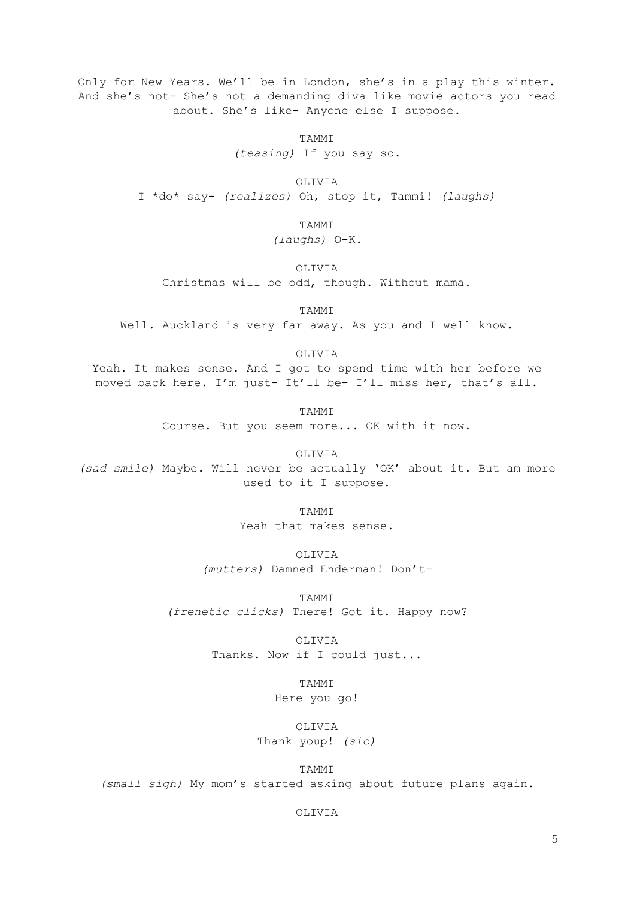Only for New Years. We'll be in London, she's in a play this winter. And she's not- She's not a demanding diva like movie actors you read about. She's like- Anyone else I suppose.

> TAMMI *(teasing)* If you say so.

OLIVIA I \*do\* say- *(realizes)* Oh, stop it, Tammi! *(laughs)*

> TAMMI *(laughs)* O-K.

OLIVIA Christmas will be odd, though. Without mama.

TAMMI

Well. Auckland is very far away. As you and I well know.

OLIVIA

Yeah. It makes sense. And I got to spend time with her before we moved back here. I'm just- It'll be- I'll miss her, that's all.

> TAMMI Course. But you seem more... OK with it now.

> > OLIVIA

*(sad smile)* Maybe. Will never be actually 'OK' about it. But am more used to it I suppose.

TAMMI

Yeah that makes sense.

OLIVIA

*(mutters)* Damned Enderman! Don't-

TAMMI *(frenetic clicks)* There! Got it. Happy now?

> OLIVIA Thanks. Now if I could just...

> > TAMMI Here you go!

OLIVIA Thank youp! *(sic)*

TAMMI *(small sigh)* My mom's started asking about future plans again.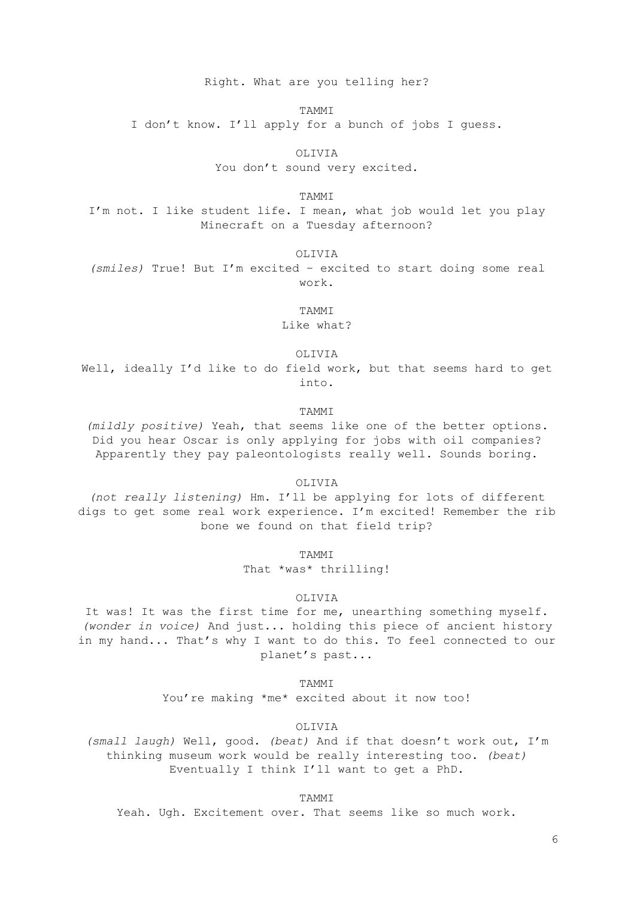Right. What are you telling her?

TAMMI

I don't know. I'll apply for a bunch of jobs I guess.

OLIVIA

You don't sound very excited.

TAMMI

I'm not. I like student life. I mean, what job would let you play Minecraft on a Tuesday afternoon?

OLIVIA

*(smiles)* True! But I'm excited – excited to start doing some real work.

TAMMI

Like what?

OLIVIA

Well, ideally I'd like to do field work, but that seems hard to get into.

TAMMI

*(mildly positive)* Yeah, that seems like one of the better options. Did you hear Oscar is only applying for jobs with oil companies? Apparently they pay paleontologists really well. Sounds boring.

OLIVIA

*(not really listening)* Hm. I'll be applying for lots of different digs to get some real work experience. I'm excited! Remember the rib bone we found on that field trip?

**TAMMT** 

That \*was\* thrilling!

OLIVIA

It was! It was the first time for me, unearthing something myself. *(wonder in voice)* And just... holding this piece of ancient history in my hand... That's why I want to do this. To feel connected to our planet's past...

TAMMI

You're making \*me\* excited about it now too!

OLIVIA

*(small laugh)* Well, good. *(beat)* And if that doesn't work out, I'm thinking museum work would be really interesting too. *(beat)* Eventually I think I'll want to get a PhD.

TAMMI

Yeah. Ugh. Excitement over. That seems like so much work.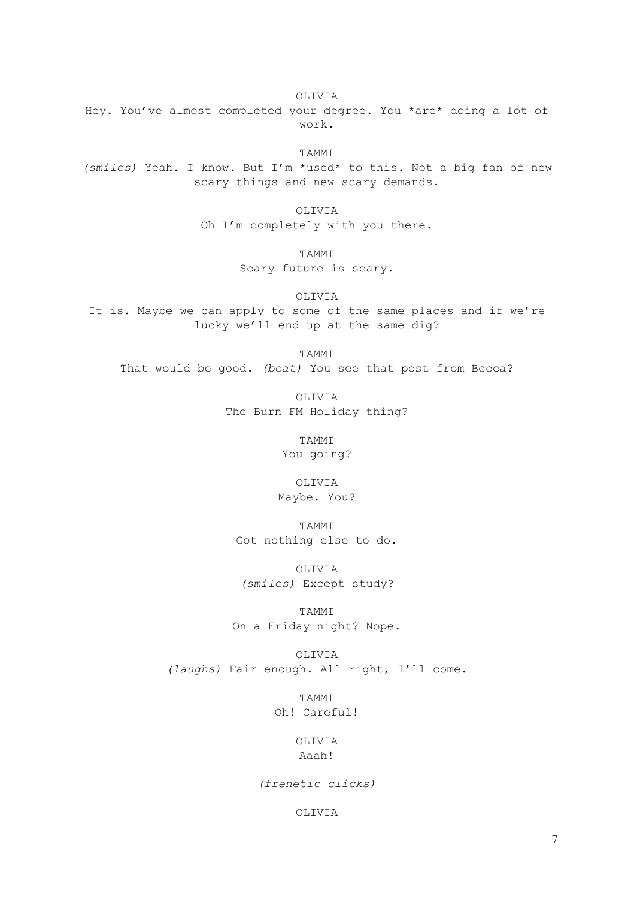OLIVIA

Hey. You've almost completed your degree. You \*are\* doing a lot of work.

TAMMI

*(smiles)* Yeah. I know. But I'm \*used\* to this. Not a big fan of new scary things and new scary demands.

OLIVIA

Oh I'm completely with you there.

TAMMI

Scary future is scary.

OLIVIA

It is. Maybe we can apply to some of the same places and if we're lucky we'll end up at the same dig?

TAMMI

That would be good. *(beat)* You see that post from Becca?

OLIVIA The Burn FM Holiday thing?

> TAMMI You going?

OLIVIA Maybe. You?

TAMMI Got nothing else to do.

OLIVIA *(smiles)* Except study?

TAMMI On a Friday night? Nope.

OLIVIA *(laughs)* Fair enough. All right, I'll come.

> TAMMI Oh! Careful!

> > OLIVIA Aaah!

*(frenetic clicks)*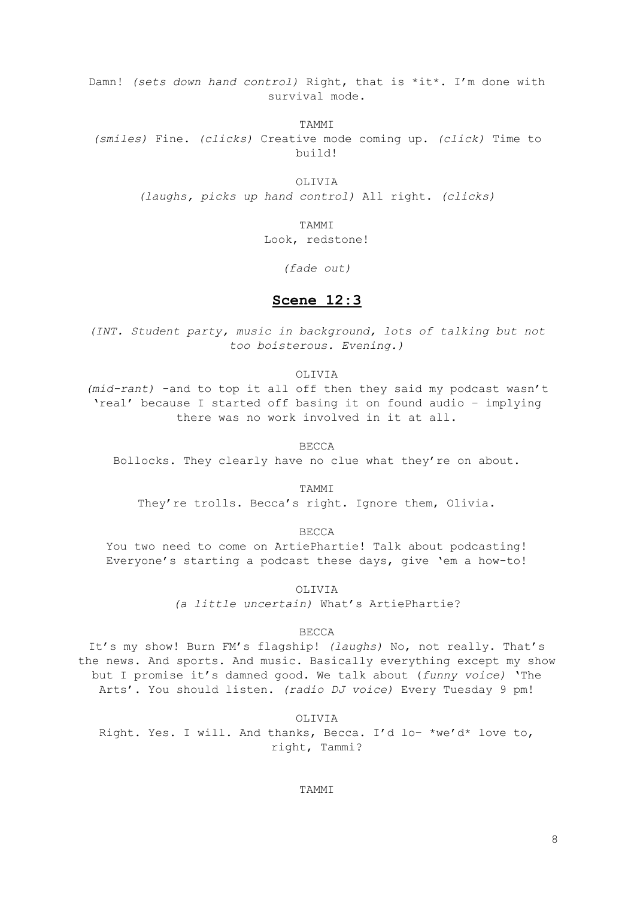Damn! *(sets down hand control)* Right, that is \*it\*. I'm done with survival mode.

TAMMI

*(smiles)* Fine. *(clicks)* Creative mode coming up. *(click)* Time to build!

> OLIVIA *(laughs, picks up hand control)* All right. *(clicks)*

> > TAMMI Look, redstone!

> > > *(fade out)*

### **Scene 12:3**

*(INT. Student party, music in background, lots of talking but not too boisterous. Evening.)*

OLIVIA

*(mid-rant)* -and to top it all off then they said my podcast wasn't 'real' because I started off basing it on found audio – implying there was no work involved in it at all.

BECCA

Bollocks. They clearly have no clue what they're on about.

TAMMI

They're trolls. Becca's right. Ignore them, Olivia.

BECCA

You two need to come on ArtiePhartie! Talk about podcasting! Everyone's starting a podcast these days, give 'em a how-to!

OLIVIA

*(a little uncertain)* What's ArtiePhartie?

BECCA

It's my show! Burn FM's flagship! *(laughs)* No, not really. That's the news. And sports. And music. Basically everything except my show but I promise it's damned good. We talk about (*funny voice)* 'The Arts'. You should listen. *(radio DJ voice)* Every Tuesday 9 pm!

OLIVIA Right. Yes. I will. And thanks, Becca. I'd lo– \*we'd\* love to, right, Tammi?

TAMMI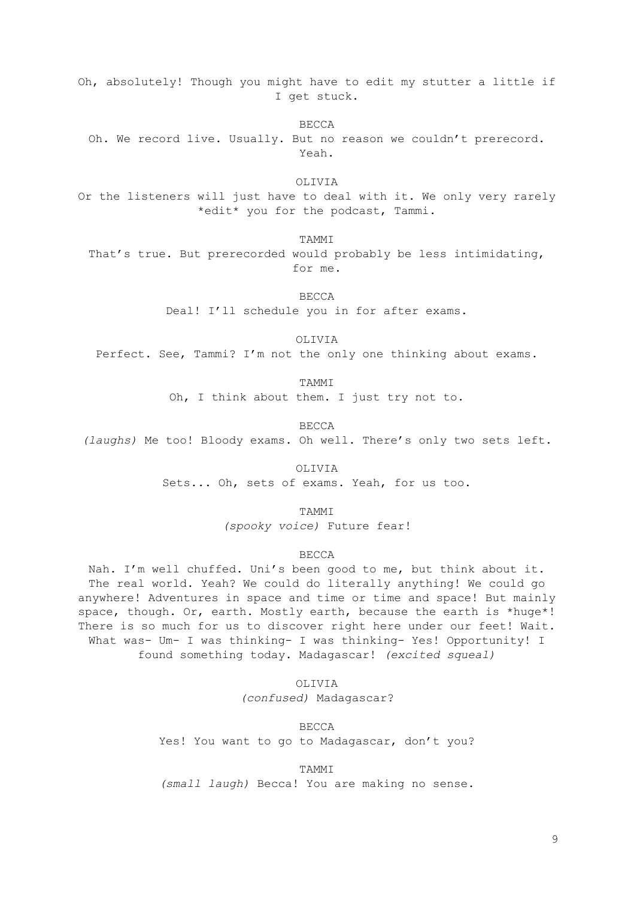Oh, absolutely! Though you might have to edit my stutter a little if I get stuck.

BECCA Oh. We record live. Usually. But no reason we couldn't prerecord. Yeah.

OLIVIA

Or the listeners will just have to deal with it. We only very rarely \*edit\* you for the podcast, Tammi.

TAMMI

That's true. But prerecorded would probably be less intimidating, for me.

BECCA

Deal! I'll schedule you in for after exams.

OLIVIA

Perfect. See, Tammi? I'm not the only one thinking about exams.

TAMMI

Oh, I think about them. I just try not to.

BECCA

*(laughs)* Me too! Bloody exams. Oh well. There's only two sets left.

OLIVIA Sets... Oh, sets of exams. Yeah, for us too.

TAMMI

*(spooky voice)* Future fear!

### BECCA

Nah. I'm well chuffed. Uni's been good to me, but think about it. The real world. Yeah? We could do literally anything! We could go anywhere! Adventures in space and time or time and space! But mainly space, though. Or, earth. Mostly earth, because the earth is \*huge\*! There is so much for us to discover right here under our feet! Wait. What was- Um- I was thinking- I was thinking- Yes! Opportunity! I found something today. Madagascar! *(excited squeal)*

> OLIVIA *(confused)* Madagascar?

BECCA Yes! You want to go to Madagascar, don't you?

TAMMI *(small laugh)* Becca! You are making no sense.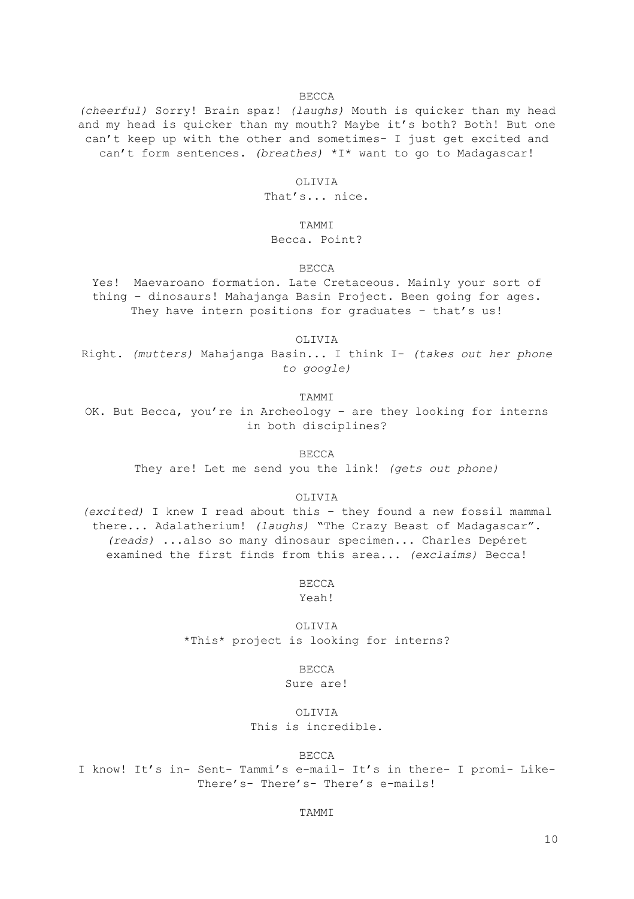#### BECCA

*(cheerful)* Sorry! Brain spaz! *(laughs)* Mouth is quicker than my head and my head is quicker than my mouth? Maybe it's both? Both! But one can't keep up with the other and sometimes- I just get excited and can't form sentences. *(breathes)* \*I\* want to go to Madagascar!

### OLIVIA

That's... nice.

### TAMMI

### Becca. Point?

# BECCA

Yes! Maevaroano formation. Late Cretaceous. Mainly your sort of thing – dinosaurs! Mahajanga Basin Project. Been going for ages. They have intern positions for graduates - that's us!

OLIVIA

Right. *(mutters)* Mahajanga Basin... I think I- *(takes out her phone to google)*

TAMMI

OK. But Becca, you're in Archeology – are they looking for interns in both disciplines?

BECCA

They are! Let me send you the link! *(gets out phone)*

#### OLIVIA

*(excited)* I knew I read about this – they found a new fossil mammal there... Adalatherium! *(laughs)* "The Crazy Beast of Madagascar". *(reads)* ...also so many dinosaur specimen... Charles Depéret examined the first finds from this area... *(exclaims)* Becca!

BECCA

Yeah!

OLIVIA \*This\* project is looking for interns?

BECCA

Sure are!

OLIVIA This is incredible.

### BECCA

I know! It's in- Sent- Tammi's e-mail- It's in there- I promi- Like-There's- There's- There's e-mails!

### TAMMI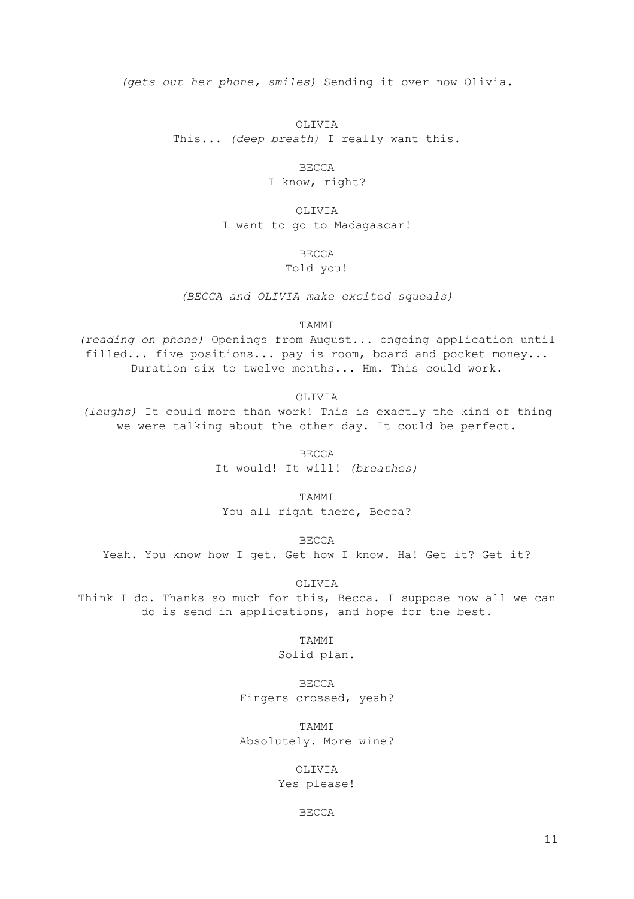*(gets out her phone, smiles)* Sending it over now Olivia.

OLIVIA This... *(deep breath)* I really want this.

> BECCA I know, right?

OLIVIA I want to go to Madagascar!

BECCA

Told you!

*(BECCA and OLIVIA make excited squeals)*

TAMMI

*(reading on phone)* Openings from August... ongoing application until filled... five positions... pay is room, board and pocket money... Duration six to twelve months... Hm. This could work.

OLIVIA *(laughs)* It could more than work! This is exactly the kind of thing we were talking about the other day. It could be perfect.

> BECCA It would! It will! *(breathes)*

TAMMI You all right there, Becca?

BECCA

Yeah. You know how I get. Get how I know. Ha! Get it? Get it?

OLIVIA

Think I do. Thanks so much for this, Becca. I suppose now all we can do is send in applications, and hope for the best.

> TAMMI Solid plan.

BECCA Fingers crossed, yeah?

TAMMI Absolutely. More wine?

> OLIVIA Yes please!

> > BECCA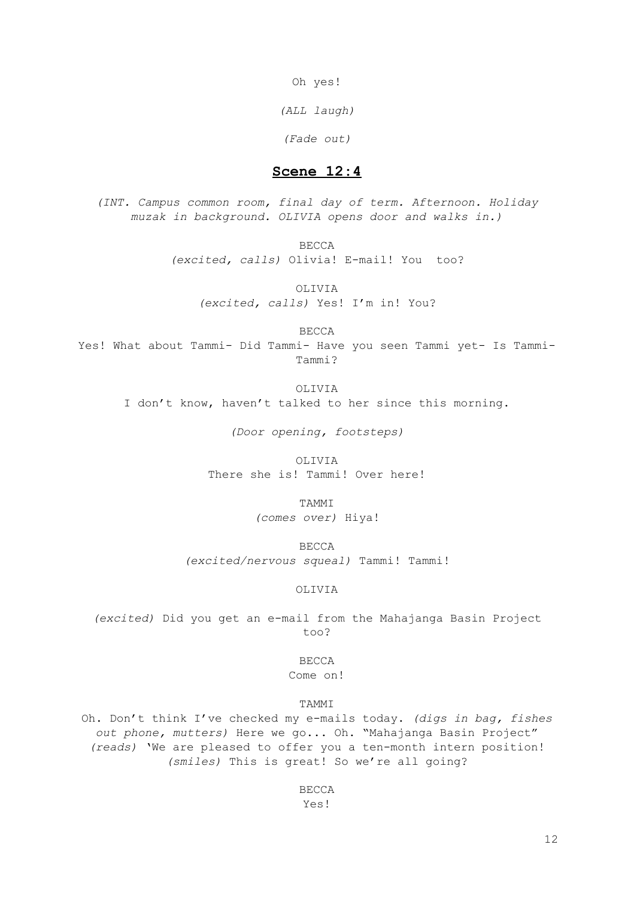Oh yes!

*(ALL laugh)*

*(Fade out)*

# **Scene 12:4**

*(INT. Campus common room, final day of term. Afternoon. Holiday muzak in background. OLIVIA opens door and walks in.)*

> BECCA *(excited, calls)* Olivia! E-mail! You too?

OLIVIA *(excited, calls)* Yes! I'm in! You?

BECCA

Yes! What about Tammi- Did Tammi- Have you seen Tammi yet- Is Tammi-Tammi?

OLIVIA

I don't know, haven't talked to her since this morning.

*(Door opening, footsteps)*

OLIVIA

There she is! Tammi! Over here!

TAMMI

*(comes over)* Hiya!

BECCA *(excited/nervous squeal)* Tammi! Tammi!

### OLIVIA

*(excited)* Did you get an e-mail from the Mahajanga Basin Project too?

BECCA

Come on!

TAMMI

Oh. Don't think I've checked my e-mails today. *(digs in bag, fishes out phone, mutters)* Here we go... Oh. "Mahajanga Basin Project" *(reads)* 'We are pleased to offer you a ten-month intern position! *(smiles)* This is great! So we're all going?

> BECCA Yes!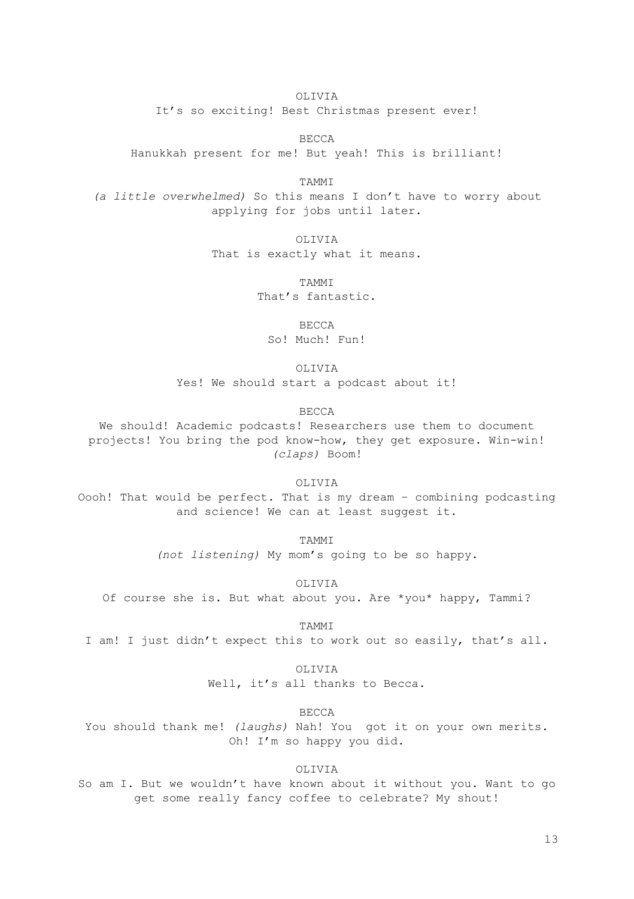OLIVIA It's so exciting! Best Christmas present ever!

BECCA Hanukkah present for me! But yeah! This is brilliant!

TAMMI *(a little overwhelmed)* So this means I don't have to worry about applying for jobs until later.

> OLIVIA That is exactly what it means.

> > TAMMI That's fantastic.

> > > BECCA

So! Much! Fun!

OLIVIA

Yes! We should start a podcast about it!

BECCA

We should! Academic podcasts! Researchers use them to document projects! You bring the pod know-how, they get exposure. Win-win! *(claps)* Boom!

OLIVIA

Oooh! That would be perfect. That is my dream – combining podcasting and science! We can at least suggest it.

TAMMI

*(not listening)* My mom's going to be so happy.

OLIVIA

Of course she is. But what about you. Are \*you\* happy, Tammi?

TAMMI

I am! I just didn't expect this to work out so easily, that's all.

OLIVIA

Well, it's all thanks to Becca.

BECCA

You should thank me! *(laughs)* Nah! You got it on your own merits. Oh! I'm so happy you did.

OLIVIA

So am I. But we wouldn't have known about it without you. Want to go get some really fancy coffee to celebrate? My shout!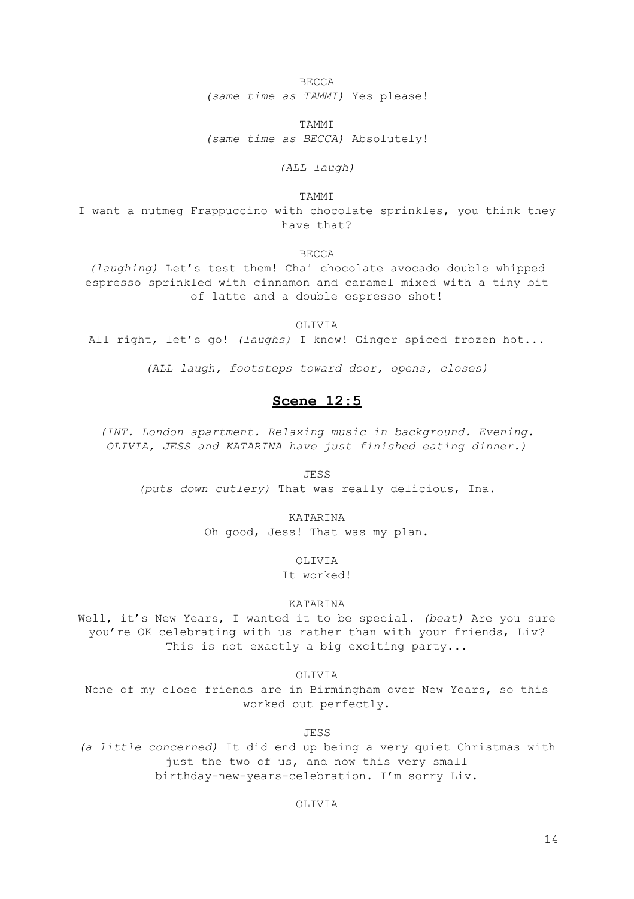BECCA *(same time as TAMMI)* Yes please!

TAMMI *(same time as BECCA)* Absolutely!

*(ALL laugh)*

TAMMI

I want a nutmeg Frappuccino with chocolate sprinkles, you think they have that?

BECCA

*(laughing)* Let's test them! Chai chocolate avocado double whipped espresso sprinkled with cinnamon and caramel mixed with a tiny bit of latte and a double espresso shot!

### OLIVIA

All right, let's go! *(laughs)* I know! Ginger spiced frozen hot...

*(ALL laugh, footsteps toward door, opens, closes)*

# **Scene 12:5**

*(INT. London apartment. Relaxing music in background. Evening. OLIVIA, JESS and KATARINA have just finished eating dinner.)*

JESS

*(puts down cutlery)* That was really delicious, Ina.

#### KATARINA

Oh good, Jess! That was my plan.

OLIVIA

It worked!

### KATARINA

Well, it's New Years, I wanted it to be special. *(beat)* Are you sure you're OK celebrating with us rather than with your friends, Liv? This is not exactly a big exciting party...

OLIVIA

None of my close friends are in Birmingham over New Years, so this worked out perfectly.

JESS

*(a little concerned)* It did end up being a very quiet Christmas with just the two of us, and now this very small birthday-new-years-celebration. I'm sorry Liv.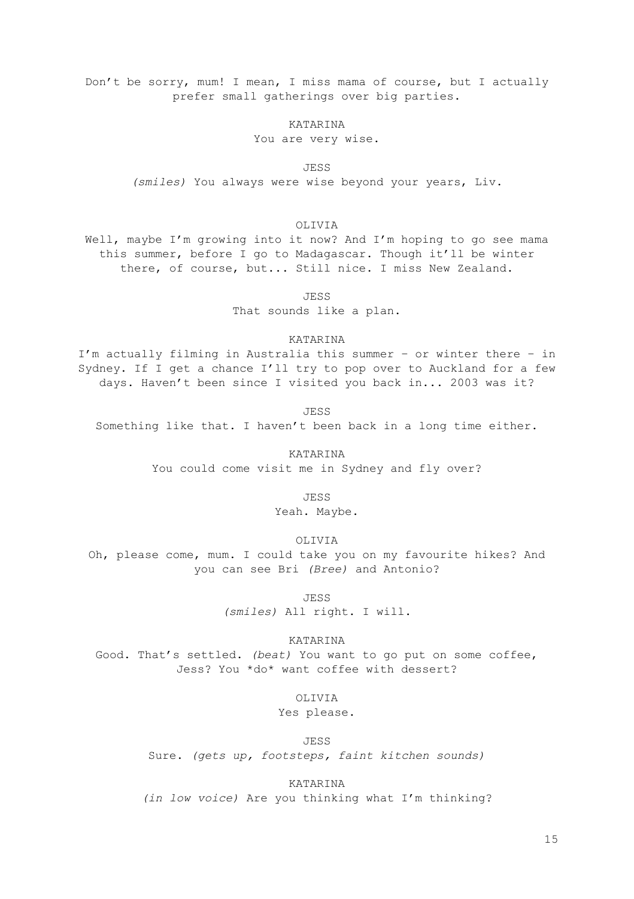Don't be sorry, mum! I mean, I miss mama of course, but I actually prefer small gatherings over big parties.

### KATARINA

You are very wise.

JESS *(smiles)* You always were wise beyond your years, Liv.

### OLIVIA

Well, maybe I'm growing into it now? And I'm hoping to go see mama this summer, before I go to Madagascar. Though it'll be winter there, of course, but... Still nice. I miss New Zealand.

JESS

That sounds like a plan.

### KATARINA

I'm actually filming in Australia this summer – or winter there – in Sydney. If I get a chance I'll try to pop over to Auckland for a few days. Haven't been since I visited you back in... 2003 was it?

JESS Something like that. I haven't been back in a long time either.

KATARINA

You could come visit me in Sydney and fly over?

JESS

Yeah. Maybe.

OLIVIA

Oh, please come, mum. I could take you on my favourite hikes? And you can see Bri *(Bree)* and Antonio?

JESS

*(smiles)* All right. I will.

KATARINA

Good. That's settled. *(beat)* You want to go put on some coffee, Jess? You \*do\* want coffee with dessert?

OLIVIA

Yes please.

JESS

Sure. *(gets up, footsteps, faint kitchen sounds)*

KATARINA

*(in low voice)* Are you thinking what I'm thinking?

15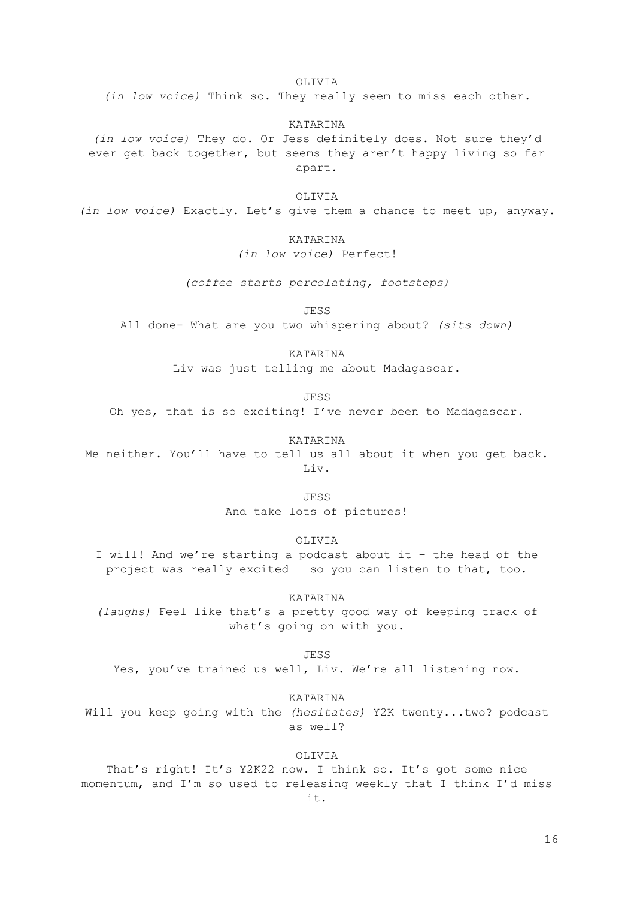OLIVIA

*(in low voice)* Think so. They really seem to miss each other.

KATARINA

*(in low voice)* They do. Or Jess definitely does. Not sure they'd ever get back together, but seems they aren't happy living so far apart.

OLIVIA

*(in low voice)* Exactly. Let's give them a chance to meet up, anyway.

### KATARINA

*(in low voice)* Perfect!

*(coffee starts percolating, footsteps)*

JESS

All done- What are you two whispering about? *(sits down)*

KATARINA

Liv was just telling me about Madagascar.

JESS

Oh yes, that is so exciting! I've never been to Madagascar.

KATARINA Me neither. You'll have to tell us all about it when you get back. Liv.

JESS

And take lots of pictures!

OLIVIA

I will! And we're starting a podcast about it – the head of the project was really excited – so you can listen to that, too.

KATARINA *(laughs)* Feel like that's a pretty good way of keeping track of what's going on with you.

JESS

Yes, you've trained us well, Liv. We're all listening now.

KATARINA

Will you keep going with the *(hesitates)* Y2K twenty...two? podcast as well?

OLIVIA

That's right! It's Y2K22 now. I think so. It's got some nice momentum, and I'm so used to releasing weekly that I think I'd miss it.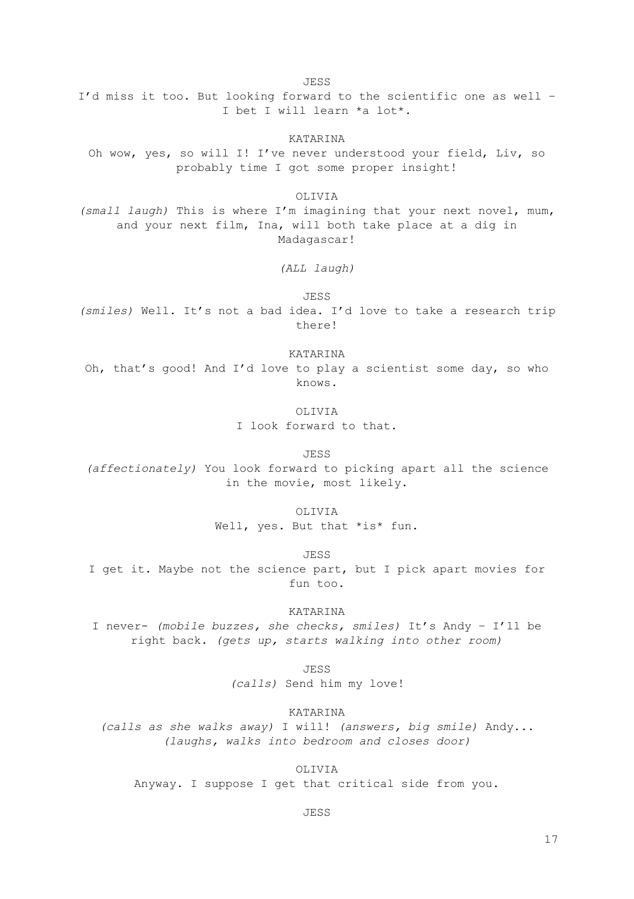JESS I'd miss it too. But looking forward to the scientific one as well – I bet I will learn \*a lot\*.

KATARINA Oh wow, yes, so will I! I've never understood your field, Liv, so probably time I got some proper insight!

OLIVIA *(small laugh)* This is where I'm imagining that your next novel, mum, and your next film, Ina, will both take place at a dig in Madagascar!

*(ALL laugh)*

JESS *(smiles)* Well. It's not a bad idea. I'd love to take a research trip there!

KATARINA Oh, that's good! And I'd love to play a scientist some day, so who knows.

> OLIVIA I look forward to that.

> > JESS

*(affectionately)* You look forward to picking apart all the science in the movie, most likely.

OLIVIA

Well, yes. But that \*is\* fun.

JESS

I get it. Maybe not the science part, but I pick apart movies for fun too.

KATARINA

I never- *(mobile buzzes, she checks, smiles)* It's Andy – I'll be right back. *(gets up, starts walking into other room)*

JESS

*(calls)* Send him my love!

KATARINA

*(calls as she walks away)* I will! *(answers, big smile)* Andy... *(laughs, walks into bedroom and closes door)*

OLIVIA

Anyway. I suppose I get that critical side from you.

JESS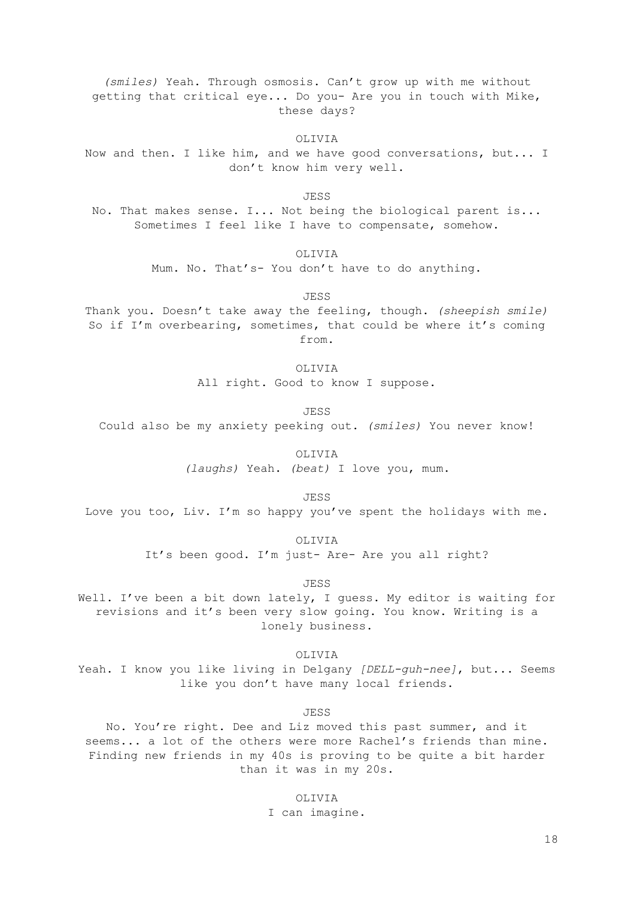*(smiles)* Yeah. Through osmosis. Can't grow up with me without getting that critical eye... Do you- Are you in touch with Mike, these days?

OLIVIA

Now and then. I like him, and we have good conversations, but... I don't know him very well.

JESS

No. That makes sense. I... Not being the biological parent is... Sometimes I feel like I have to compensate, somehow.

OLIVIA

Mum. No. That's- You don't have to do anything.

JESS

Thank you. Doesn't take away the feeling, though. *(sheepish smile)* So if I'm overbearing, sometimes, that could be where it's coming from.

OLIVIA

All right. Good to know I suppose.

JESS

Could also be my anxiety peeking out. *(smiles)* You never know!

OLIVIA

*(laughs)* Yeah. *(beat)* I love you, mum.

JESS

Love you too, Liv. I'm so happy you've spent the holidays with me.

OLIVIA

It's been good. I'm just- Are- Are you all right?

JESS

Well. I've been a bit down lately, I guess. My editor is waiting for revisions and it's been very slow going. You know. Writing is a lonely business.

OLIVIA

Yeah. I know you like living in Delgany *[DELL-guh-nee]*, but... Seems like you don't have many local friends.

JESS

No. You're right. Dee and Liz moved this past summer, and it seems... a lot of the others were more Rachel's friends than mine. Finding new friends in my 40s is proving to be quite a bit harder than it was in my 20s.

> OLIVIA I can imagine.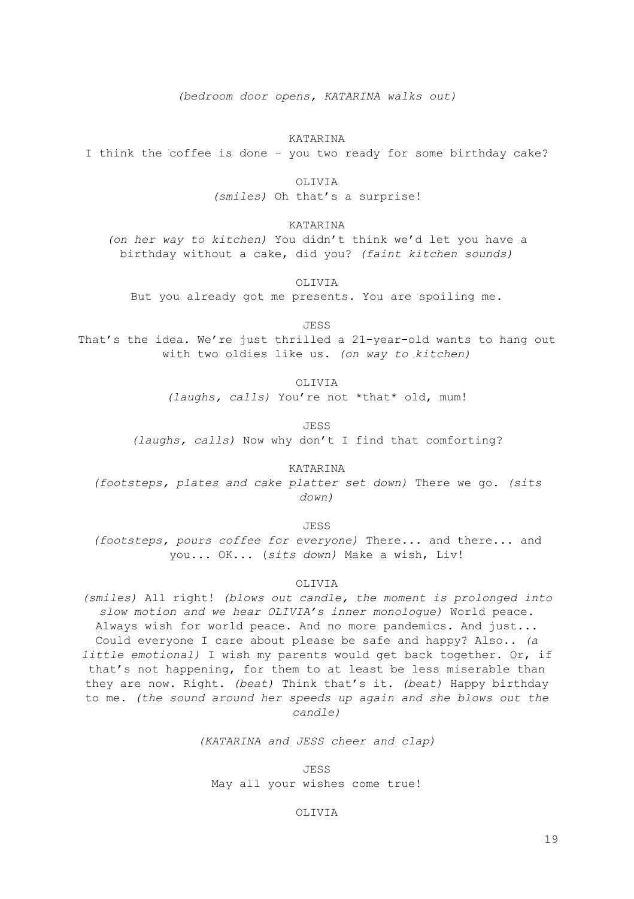*(bedroom door opens, KATARINA walks out)*

### KATARINA

I think the coffee is done – you two ready for some birthday cake?

OLIVIA

*(smiles)* Oh that's a surprise!

KATARINA

*(on her way to kitchen)* You didn't think we'd let you have a birthday without a cake, did you? *(faint kitchen sounds)*

OLIVIA

But you already got me presents. You are spoiling me.

JESS

That's the idea. We're just thrilled a 21-year-old wants to hang out with two oldies like us. *(on way to kitchen)*

> OLIVIA *(laughs, calls)* You're not \*that\* old, mum!

> > JESS

*(laughs, calls)* Now why don't I find that comforting?

KATARINA *(footsteps, plates and cake platter set down)* There we go. *(sits down)*

JESS

*(footsteps, pours coffee for everyone)* There... and there... and you... OK... (*sits down)* Make a wish, Liv!

#### OLIVIA

*(smiles)* All right! *(blows out candle, the moment is prolonged into slow motion and we hear OLIVIA's inner monologue)* World peace. Always wish for world peace. And no more pandemics. And just... Could everyone I care about please be safe and happy? Also.. *(a little emotional)* I wish my parents would get back together. Or, if that's not happening, for them to at least be less miserable than they are now. Right. *(beat)* Think that's it. *(beat)* Happy birthday to me. *(the sound around her speeds up again and she blows out the candle)*

*(KATARINA and JESS cheer and clap)*

JESS May all your wishes come true!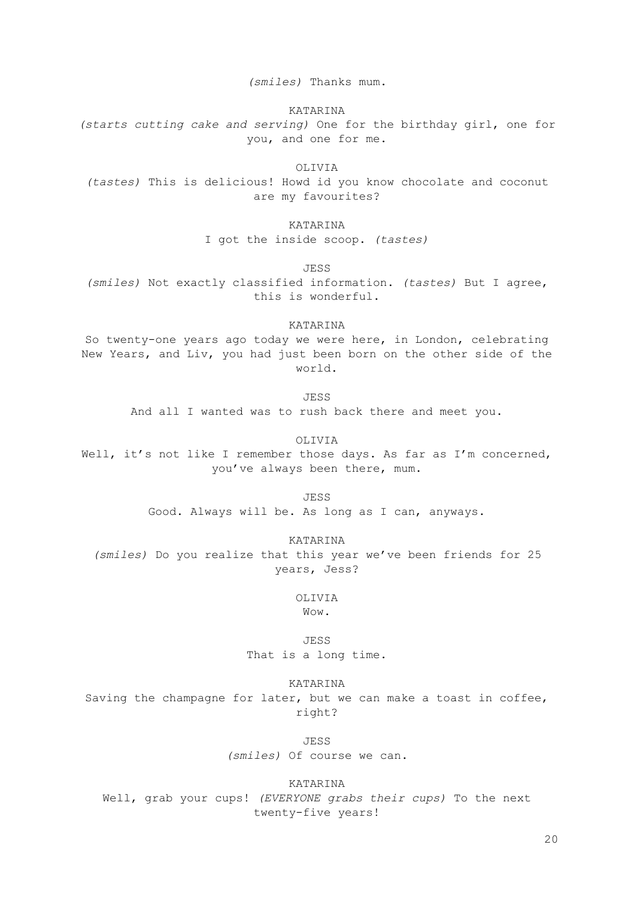*(smiles)* Thanks mum.

KATARINA

*(starts cutting cake and serving)* One for the birthday girl, one for you, and one for me.

OLIVIA

*(tastes)* This is delicious! Howd id you know chocolate and coconut are my favourites?

KATARINA

I got the inside scoop. *(tastes)*

JESS

*(smiles)* Not exactly classified information. *(tastes)* But I agree, this is wonderful.

KATARINA

So twenty-one years ago today we were here, in London, celebrating New Years, and Liv, you had just been born on the other side of the world.

JESS

And all I wanted was to rush back there and meet you.

OLIVIA Well, it's not like I remember those days. As far as I'm concerned, you've always been there, mum.

JESS

Good. Always will be. As long as I can, anyways.

KATARINA

*(smiles)* Do you realize that this year we've been friends for 25 years, Jess?

> OLIVIA Wow.

JESS That is a long time.

KATARINA

Saving the champagne for later, but we can make a toast in coffee, right?

JESS

*(smiles)* Of course we can.

KATARINA Well, grab your cups! *(EVERYONE grabs their cups)* To the next twenty-five years!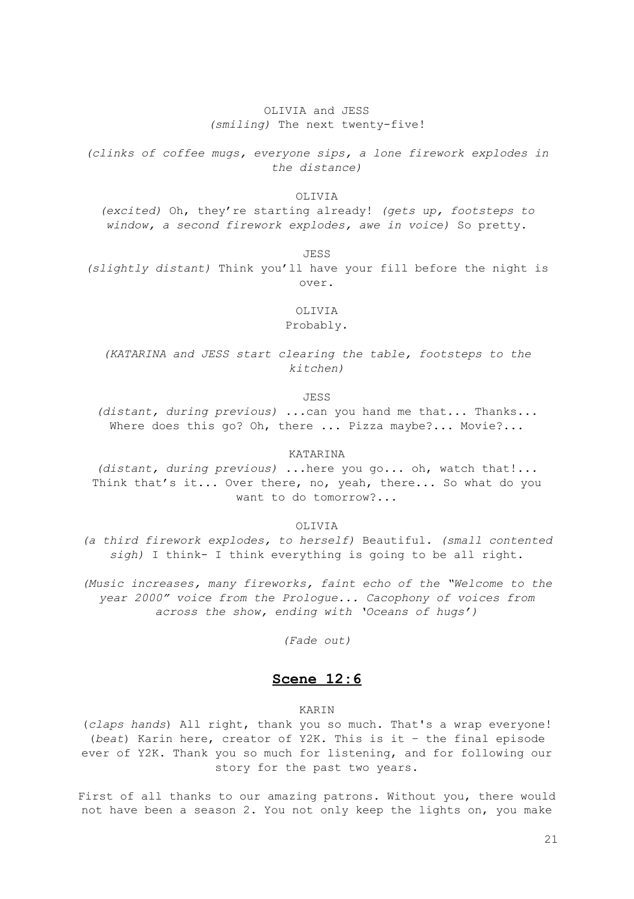## OLIVIA and JESS *(smiling)* The next twenty-five!

*(clinks of coffee mugs, everyone sips, a lone firework explodes in the distance)*

### OLIVIA

*(excited)* Oh, they're starting already! *(gets up, footsteps to window, a second firework explodes, awe in voice)* So pretty.

JESS

*(slightly distant)* Think you'll have your fill before the night is over.

OLIVIA

Probably.

*(KATARINA and JESS start clearing the table, footsteps to the kitchen)*

JESS

*(distant, during previous)* ...can you hand me that... Thanks... Where does this go? Oh, there ... Pizza maybe?... Movie?...

KATARINA

*(distant, during previous)* ...here you go... oh, watch that!... Think that's it... Over there, no, yeah, there... So what do you want to do tomorrow?...

OLIVIA

*(a third firework explodes, to herself)* Beautiful. *(small contented sigh)* I think- I think everything is going to be all right.

*(Music increases, many fireworks, faint echo of the "Welcome to the year 2000" voice from the Prologue... Cacophony of voices from across the show, ending with 'Oceans of hugs')*

*(Fade out)*

# **Scene 12:6**

### KARIN

(*claps hands*) All right, thank you so much. That's a wrap everyone! (*beat*) Karin here, creator of Y2K. This is it – the final episode ever of Y2K. Thank you so much for listening, and for following our story for the past two years.

First of all thanks to our amazing patrons. Without you, there would not have been a season 2. You not only keep the lights on, you make